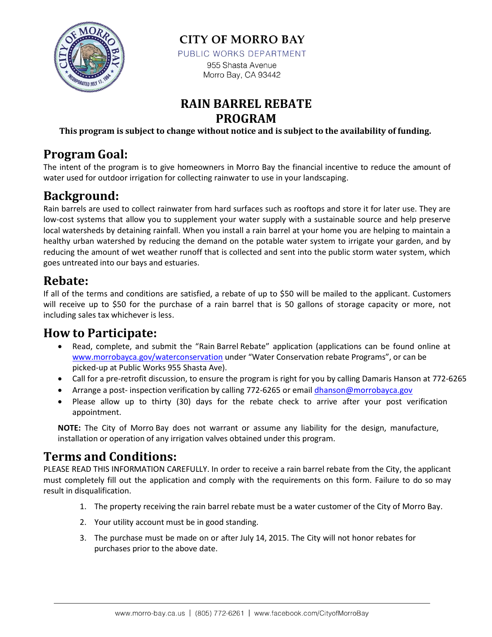

**CITY OF MORRO BAY** 

PUBLIC WORKS DEPARTMENT

955 Shasta Avenue Morro Bay, CA 93442

#### **RAIN BARREL REBATE PROGRAM**

**This program is subject to change without notice and is subject to the availability of funding.**

#### **Program Goal:**

The intent of the program is to give homeowners in Morro Bay the financial incentive to reduce the amount of water used for outdoor irrigation for collecting rainwater to use in your landscaping.

## **Background:**

Rain barrels are used to collect rainwater from hard surfaces such as rooftops and store it for later use. They are low-cost systems that allow you to supplement your water supply with a sustainable source and help preserve local watersheds by detaining rainfall. When you install a rain barrel at your home you are helping to maintain a healthy urban watershed by reducing the demand on the potable water system to irrigate your garden, and by reducing the amount of wet weather runoff that is collected and sent into the public storm water system, which goes untreated into our bays and estuaries.

#### **Rebate:**

If all of the terms and conditions are satisfied, a rebate of up to \$50 will be mailed to the applicant. Customers will receive up to \$50 for the purchase of a rain barrel that is 50 gallons of storage capacity or more, not including sales tax whichever is less.

#### **How to Participate:**

- Read, complete, and submit the "Rain Barrel Rebate" application (applications can be found online at [www.morrobayca.gov/waterconservation](http://www.morrobayca.gov/waterconservation) under "Water Conservation rebate Programs", or can be picked-up at Public Works 955 Shasta Ave).
- Call for a pre-retrofit discussion, to ensure the program is right for you by calling Damaris Hanson at 772-6265
- Arrange a post- inspection verification by calling 772-6265 or email [dhanson@morrobayca.gov](mailto:dhanson@morrobayca.gov)
- Please allow up to thirty (30) days for the rebate check to arrive after your post verification appointment.

**NOTE:** The City of Morro Bay does not warrant or assume any liability for the design, manufacture, installation or operation of any irrigation valves obtained under this program.

### **Terms and Conditions:**

PLEASE READ THIS INFORMATION CAREFULLY. In order to receive a rain barrel rebate from the City, the applicant must completely fill out the application and comply with the requirements on this form. Failure to do so may result in disqualification.

- 1. The property receiving the rain barrel rebate must be a water customer of the City of Morro Bay.
- 2. Your utility account must be in good standing.
- 3. The purchase must be made on or after July 14, 2015. The City will not honor rebates for purchases prior to the above date.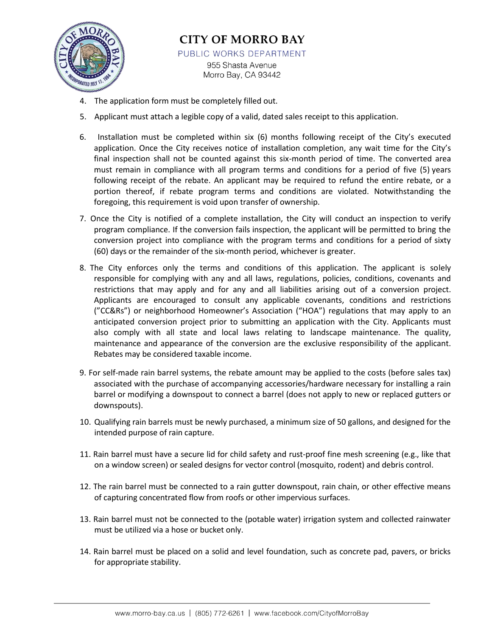

#### **CITY OF MORRO BAY** PUBLIC WORKS DEPARTMENT

955 Shasta Avenue Morro Bay, CA 93442

- 4. The application form must be completely filled out.
- 5. Applicant must attach a legible copy of a valid, dated sales receipt to this application.
- 6. Installation must be completed within six (6) months following receipt of the City's executed application. Once the City receives notice of installation completion, any wait time for the City's final inspection shall not be counted against this six-month period of time. The converted area must remain in compliance with all program terms and conditions for a period of five (5) years following receipt of the rebate. An applicant may be required to refund the entire rebate, or a portion thereof, if rebate program terms and conditions are violated. Notwithstanding the foregoing, this requirement is void upon transfer of ownership.
- 7. Once the City is notified of a complete installation, the City will conduct an inspection to verify program compliance. If the conversion fails inspection, the applicant will be permitted to bring the conversion project into compliance with the program terms and conditions for a period of sixty (60) days or the remainder of the six-month period, whichever is greater.
- 8. The City enforces only the terms and conditions of this application. The applicant is solely responsible for complying with any and all laws, regulations, policies, conditions, covenants and restrictions that may apply and for any and all liabilities arising out of a conversion project. Applicants are encouraged to consult any applicable covenants, conditions and restrictions ("CC&Rs") or neighborhood Homeowner's Association ("HOA") regulations that may apply to an anticipated conversion project prior to submitting an application with the City. Applicants must also comply with all state and local laws relating to landscape maintenance. The quality, maintenance and appearance of the conversion are the exclusive responsibility of the applicant. Rebates may be considered taxable income.
- 9. For self-made rain barrel systems, the rebate amount may be applied to the costs (before sales tax) associated with the purchase of accompanying accessories/hardware necessary for installing a rain barrel or modifying a downspout to connect a barrel (does not apply to new or replaced gutters or downspouts).
- 10. Qualifying rain barrels must be newly purchased, a minimum size of 50 gallons, and designed for the intended purpose of rain capture.
- 11. Rain barrel must have a secure lid for child safety and rust-proof fine mesh screening (e.g., like that on a window screen) or sealed designs for vector control (mosquito, rodent) and debris control.
- 12. The rain barrel must be connected to a rain gutter downspout, rain chain, or other effective means of capturing concentrated flow from roofs or other impervious surfaces.
- 13. Rain barrel must not be connected to the (potable water) irrigation system and collected rainwater must be utilized via a hose or bucket only.
- 14. Rain barrel must be placed on a solid and level foundation, such as concrete pad, pavers, or bricks for appropriate stability.